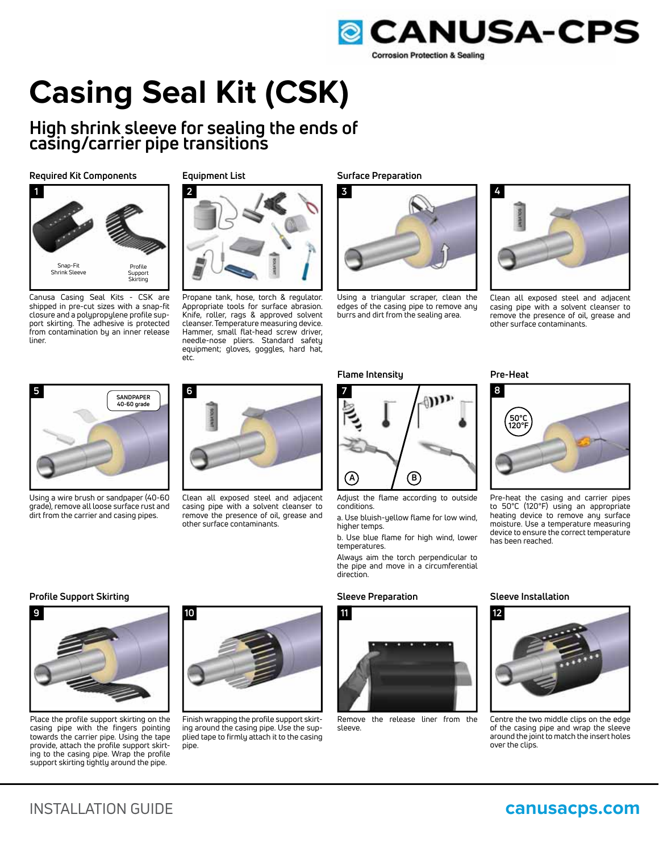

# **Casing Seal Kit (CSK)**

## **High shrink sleeve for sealing the ends of casing/carrier pipe transitions**

**Required Kit Components Equipment List**



Canusa Casing Seal Kits - CSK are shipped in pre-cut sizes with a snap-fit closure and a polypropylene profile support skirting. The adhesive is protected from contamination by an inner release liner.



Propane tank, hose, torch & regulator. Appropriate tools for surface abrasion. Knife, roller, rags & approved solvent cleanser. Temperature measuring device. Hammer, small flat-head screw driver, needle-nose pliers. Standard safety equipment; gloves, goggles, hard hat, etc.



Using a triangular scraper, clean the edges of the casing pipe to remove any burrs and dirt from the sealing area.

**7**



Adjust the flame according to outside conditions.

a. Use bluish-yellow flame for low wind, higher temps.

b. Use blue flame for high wind, lower temperatures.

Always aim the torch perpendicular to the pipe and move in a circumferential

### **Profile Support Skirting Sleeve Preparation Sleeve Installation**

direction.



Remove the release liner from the sleeve.

has been reached.

**50°C 120°F**



Pre-heat the casing and carrier pipes to 50°C (120°F) using an appropriate heating device to remove any surface moisture. Use a temperature measuring device to ensure the correct temperature

Centre the two middle clips on the edge of the casing pipe and wrap the sleeve around the joint to match the insert holes over the clips.



Using a wire brush or sandpaper (40-60 grade), remove all loose surface rust and dirt from the carrier and casing pipes.



Clean all exposed steel and adjacent casing pipe with a solvent cleanser to remove the presence of oil, grease and other surface contaminants.

**Surface Preparation**



Clean all exposed steel and adjacent casing pipe with a solvent cleanser to remove the presence of oil, grease and other surface contaminants.



**10**



Finish wrapping the profile support skirting around the casing pipe. Use the supplied tape to firmly attach it to the casing pipe.

Place the profile support skirting on the casing pipe with the fingers pointing towards the carrier pipe. Using the tape provide, attach the profile support skirting to the casing pipe. Wrap the profile support skirting tightly around the pipe.

**9**